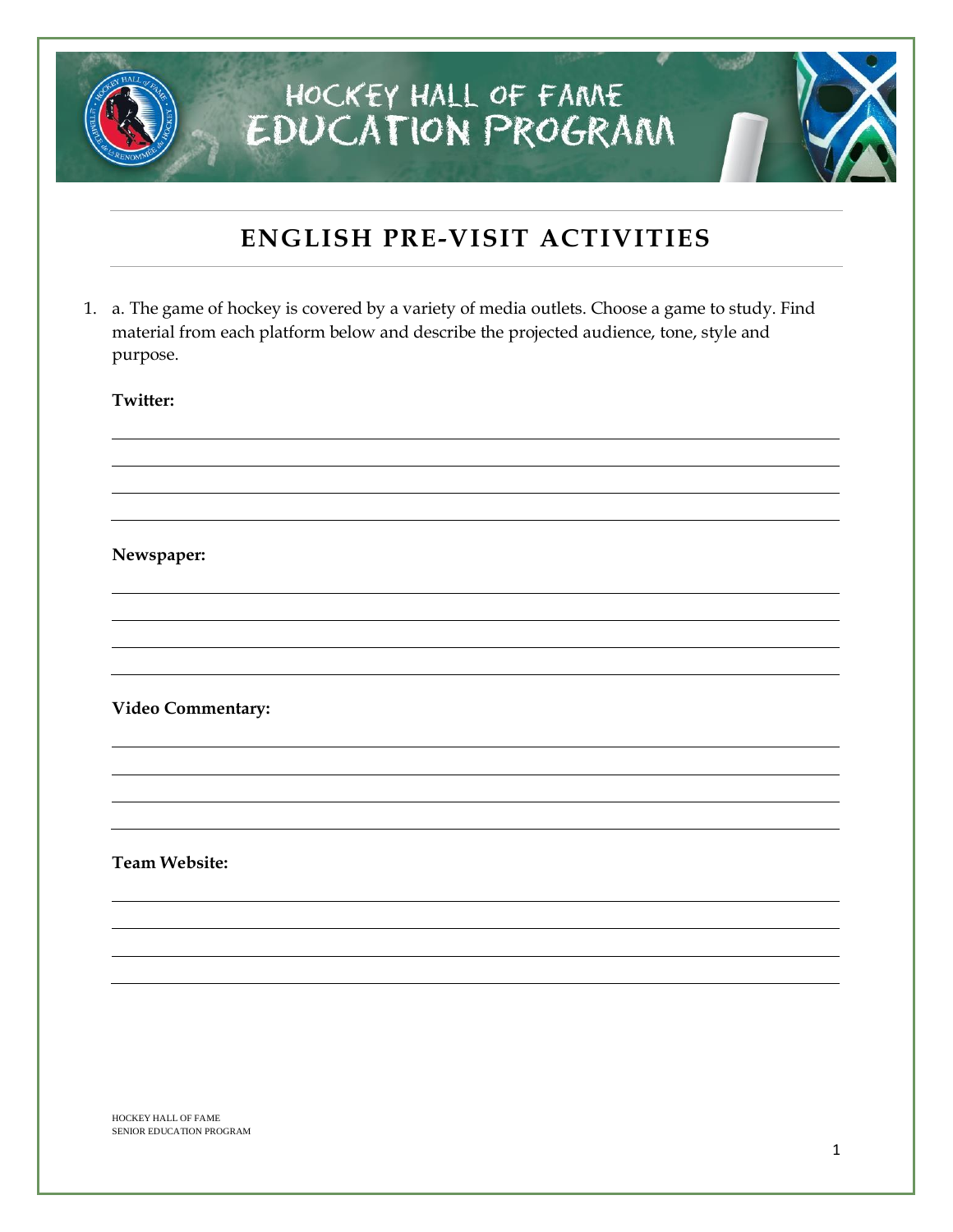## **ENGLISH PRE-VISIT ACTIVITIES**

1. a. The game of hockey is covered by a variety of media outlets. Choose a game to study. Find material from each platform below and describe the projected audience, tone, style and purpose.

**Twitter:** 

#### **Newspaper:**

**Video Commentary:**

**Team Website:**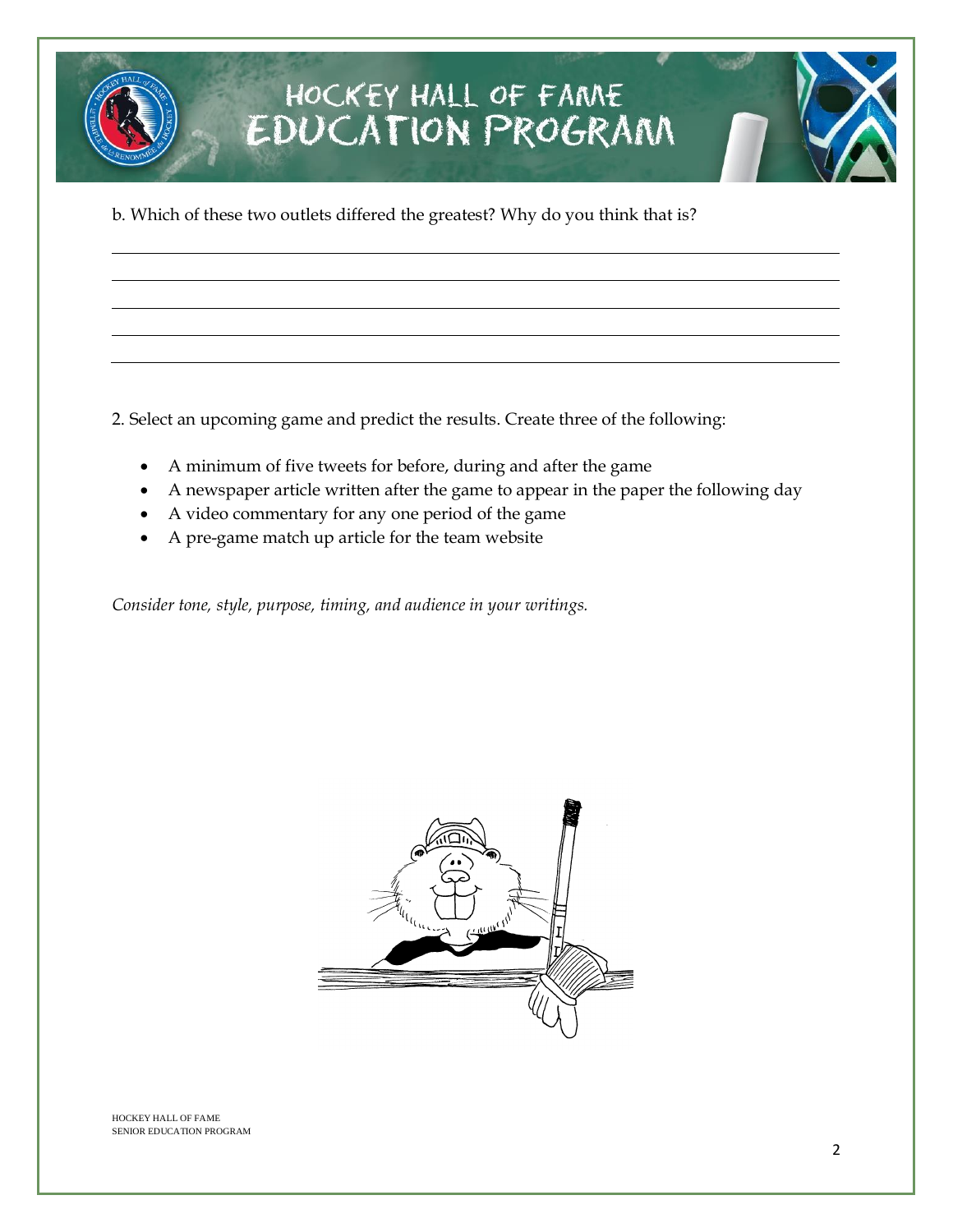b. Which of these two outlets differed the greatest? Why do you think that is?

2. Select an upcoming game and predict the results. Create three of the following:

- A minimum of five tweets for before, during and after the game
- A newspaper article written after the game to appear in the paper the following day
- A video commentary for any one period of the game
- A pre-game match up article for the team website

*Consider tone, style, purpose, timing, and audience in your writings.* 

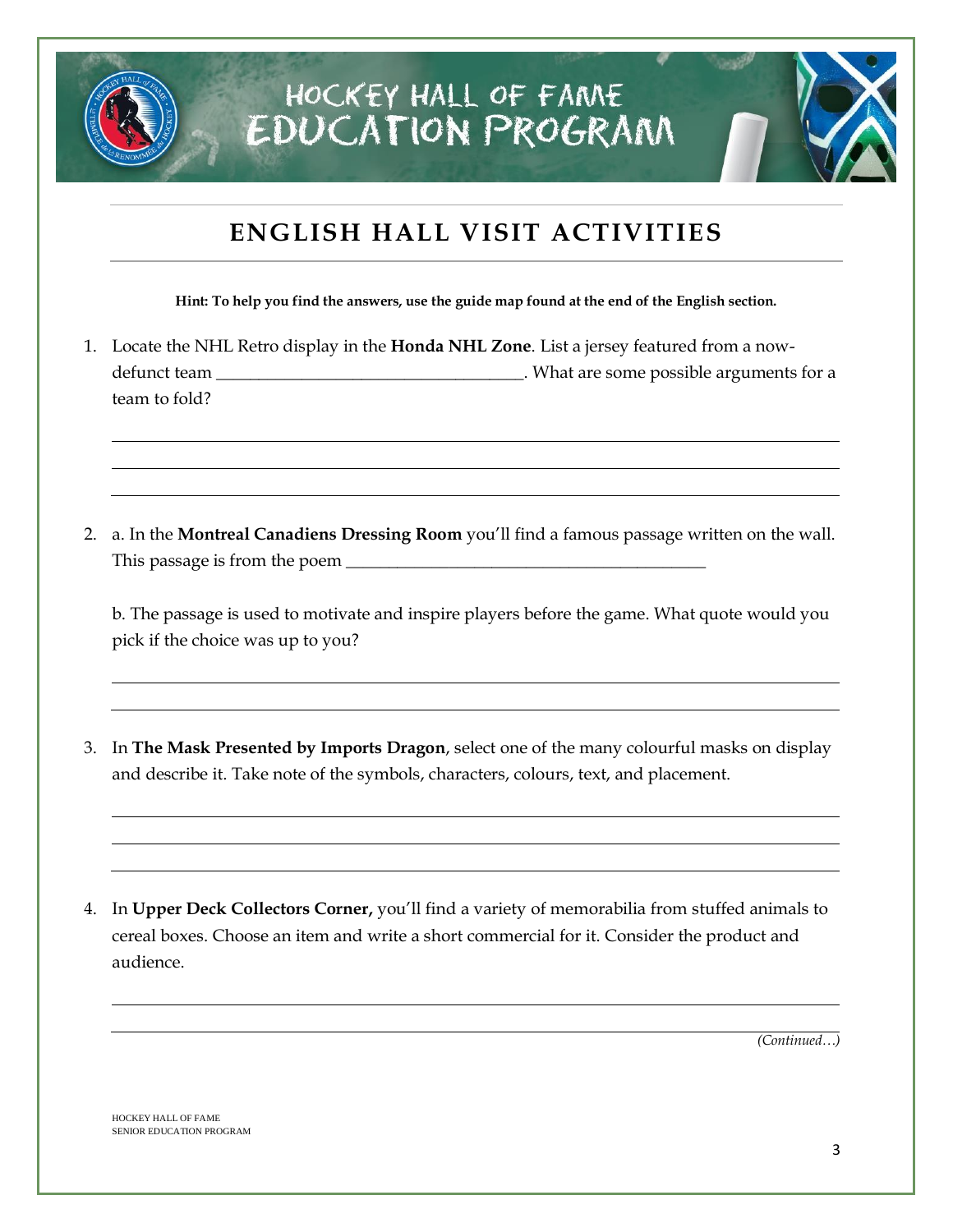## **ENGLISH HALL VISIT ACTIVITIES**

**Hint: To help you find the answers, use the guide map found at the end of the English section.**

- 1. Locate the NHL Retro display in the **Honda NHL Zone**. List a jersey featured from a nowdefunct team \_\_\_\_\_\_\_\_\_\_\_\_\_\_\_\_\_\_\_\_\_\_\_\_\_\_\_\_\_\_\_\_\_\_\_. What are some possible arguments for a team to fold?
- 2. a. In the **Montreal Canadiens Dressing Room** you'll find a famous passage written on the wall. This passage is from the poem  $\Box$

b. The passage is used to motivate and inspire players before the game. What quote would you pick if the choice was up to you?

- 3. In **The Mask Presented by Imports Dragon**, select one of the many colourful masks on display and describe it. Take note of the symbols, characters, colours, text, and placement.
- 4. In **Upper Deck Collectors Corner,** you'll find a variety of memorabilia from stuffed animals to cereal boxes. Choose an item and write a short commercial for it. Consider the product and audience.

*(Continued…)*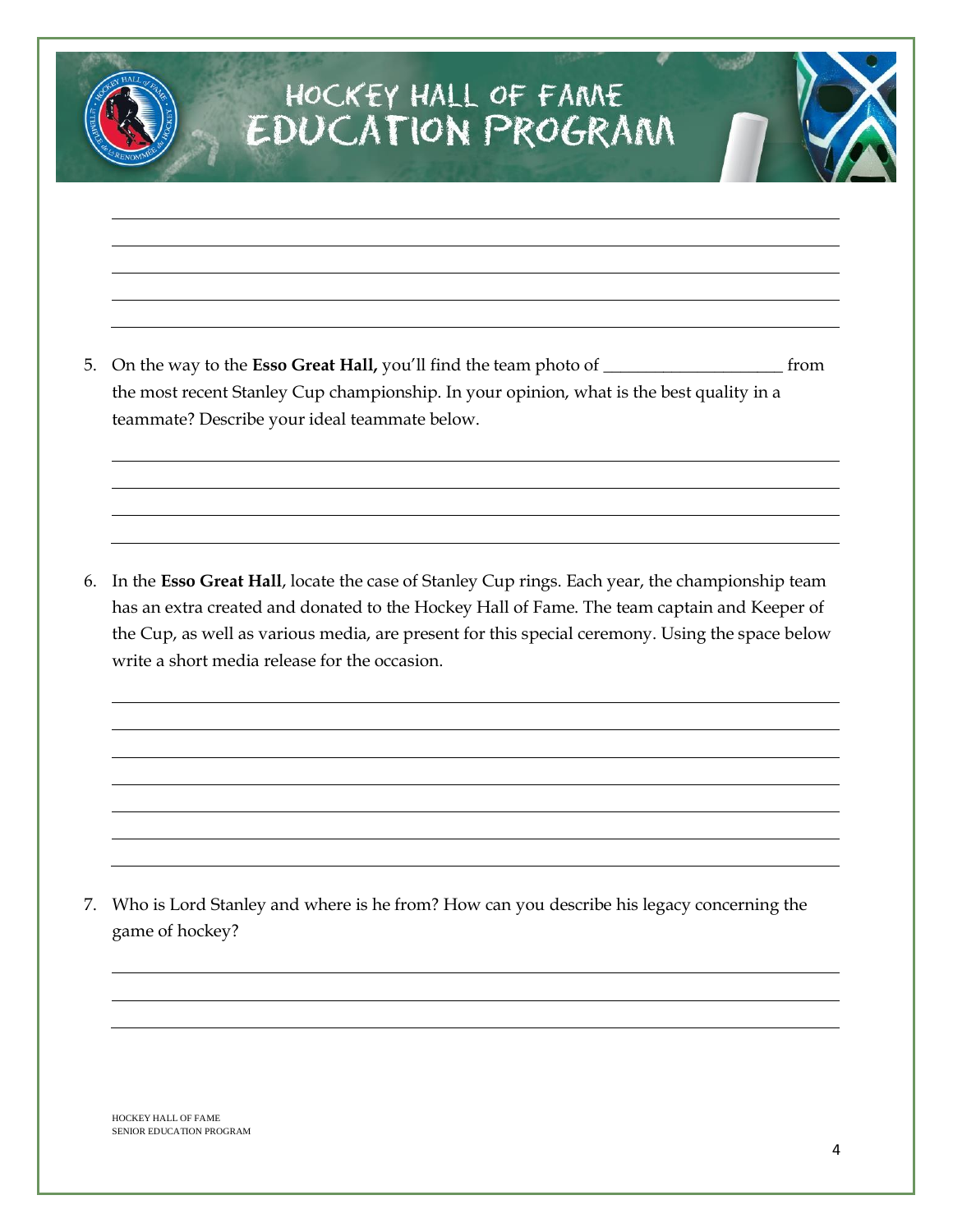5. On the way to the **Esso Great Hall,** you'll find the team photo of \_\_\_\_\_\_\_\_\_\_\_\_\_\_\_\_\_\_\_\_\_ from the most recent Stanley Cup championship. In your opinion, what is the best quality in a teammate? Describe your ideal teammate below.

6. In the **Esso Great Hall**, locate the case of Stanley Cup rings. Each year, the championship team has an extra created and donated to the Hockey Hall of Fame. The team captain and Keeper of the Cup, as well as various media, are present for this special ceremony. Using the space below write a short media release for the occasion.

7. Who is Lord Stanley and where is he from? How can you describe his legacy concerning the game of hockey?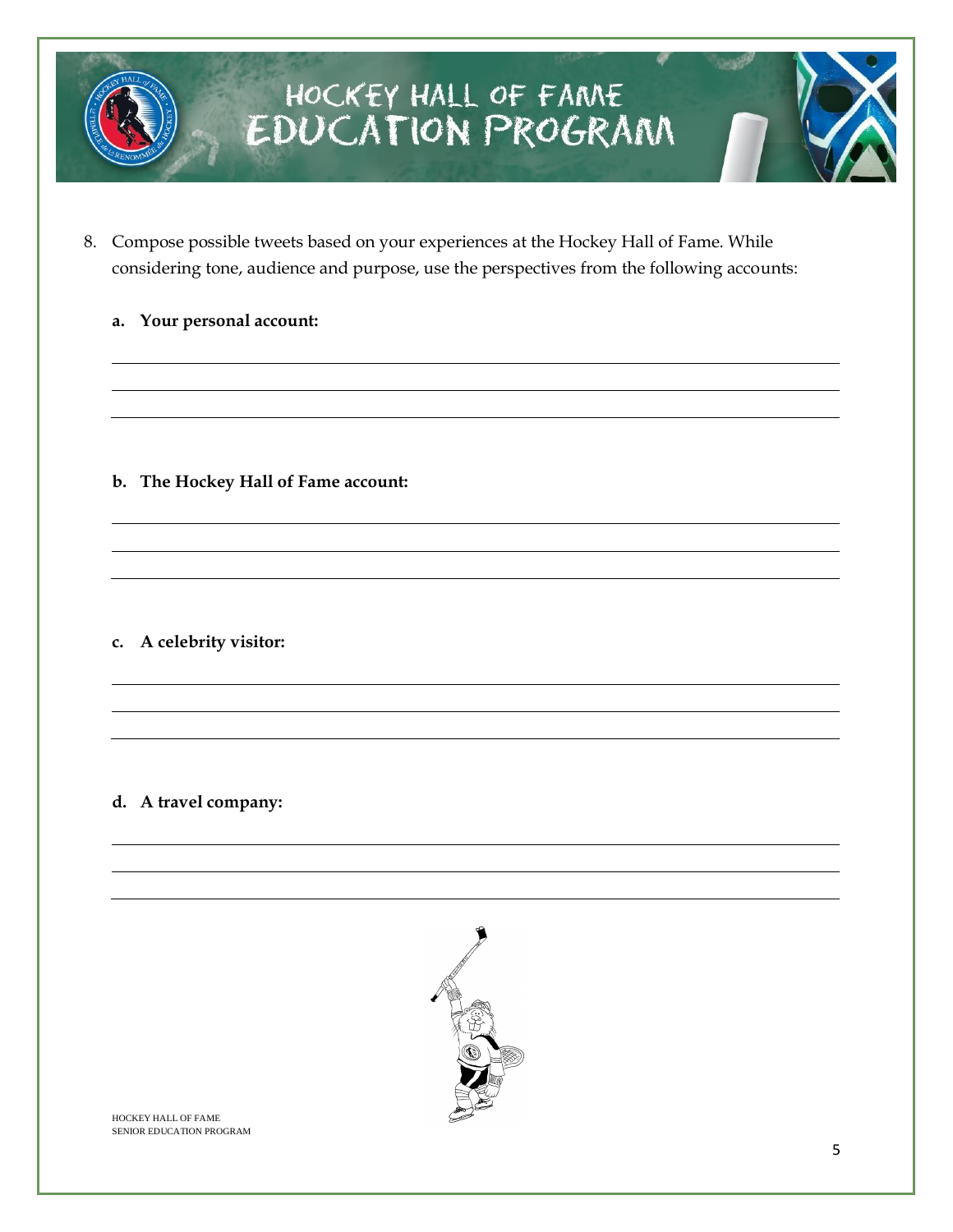

8. Compose possible tweets based on your experiences at the Hockey Hall of Fame. While considering tone, audience and purpose, use the perspectives from the following accounts:

### **a. Your personal account:**

**b. The Hockey Hall of Fame account:** 

**c. A celebrity visitor:** 

### **d. A travel company:**

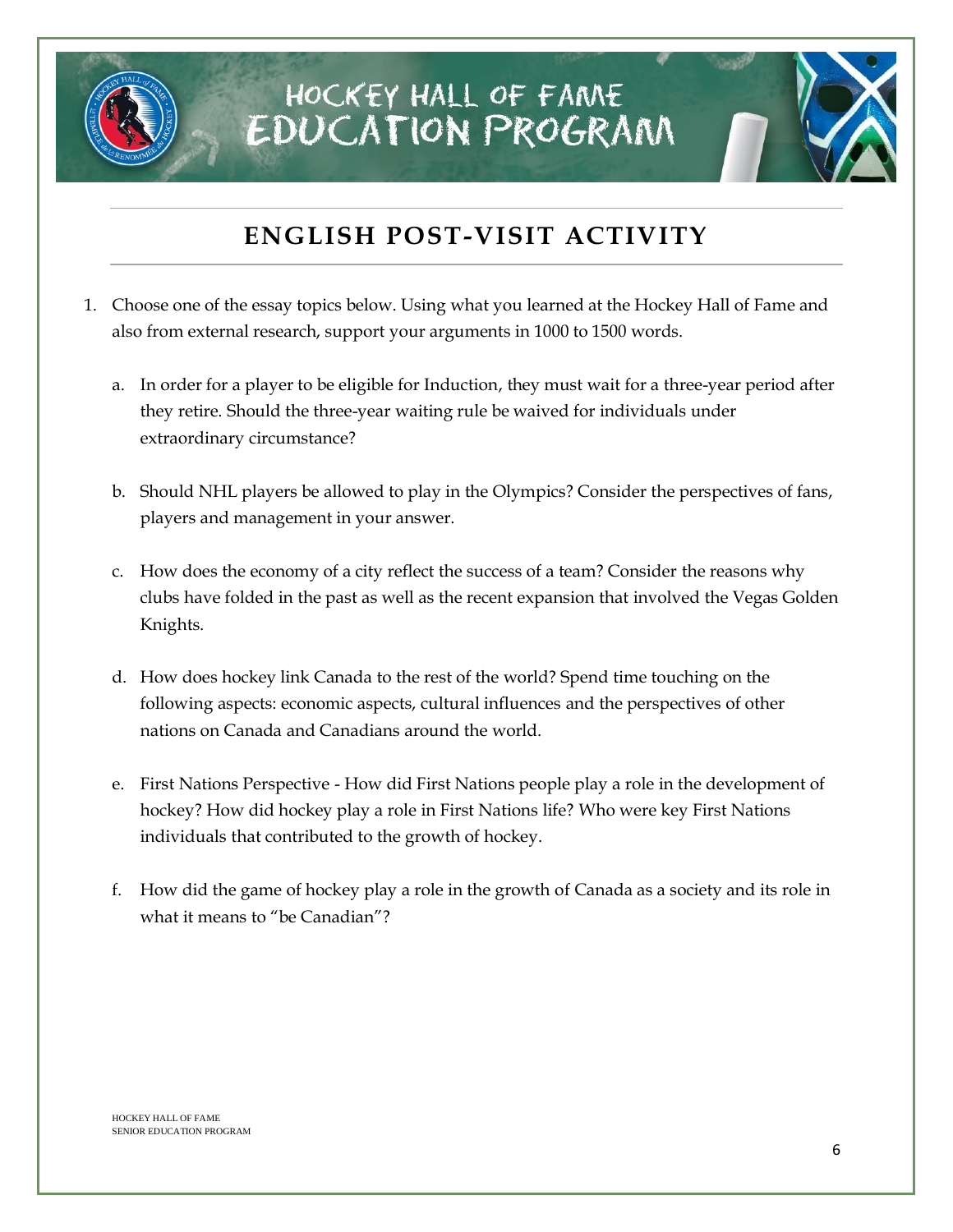

## **ENGLISH POST-VISIT ACTIVITY**

- 1. Choose one of the essay topics below. Using what you learned at the Hockey Hall of Fame and also from external research, support your arguments in 1000 to 1500 words.
	- a. In order for a player to be eligible for Induction, they must wait for a three-year period after they retire. Should the three-year waiting rule be waived for individuals under extraordinary circumstance?
	- b. Should NHL players be allowed to play in the Olympics? Consider the perspectives of fans, players and management in your answer.
	- c. How does the economy of a city reflect the success of a team? Consider the reasons why clubs have folded in the past as well as the recent expansion that involved the Vegas Golden Knights.
	- d. How does hockey link Canada to the rest of the world? Spend time touching on the following aspects: economic aspects, cultural influences and the perspectives of other nations on Canada and Canadians around the world.
	- e. First Nations Perspective How did First Nations people play a role in the development of hockey? How did hockey play a role in First Nations life? Who were key First Nations individuals that contributed to the growth of hockey.
	- f. How did the game of hockey play a role in the growth of Canada as a society and its role in what it means to "be Canadian"?